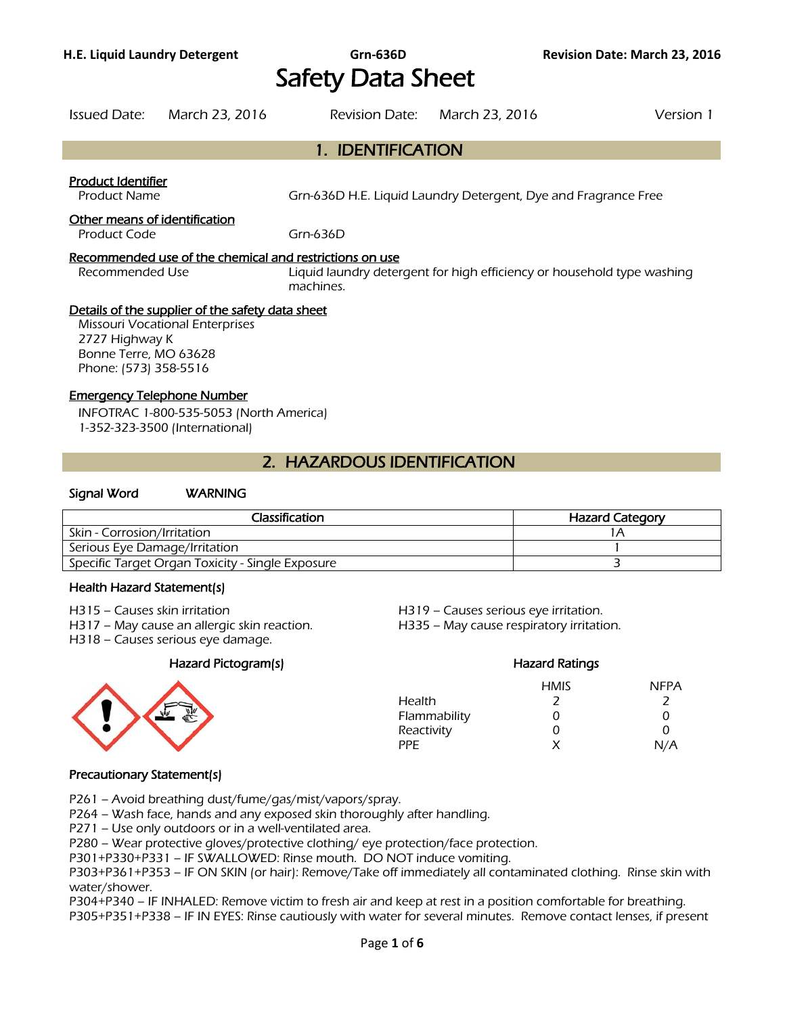# **H.E. Liquid Laundry Detergent Grn-636D Revision Date: March 23, 2016** Safety Data Sheet

| <b>Issued Date:</b>                                                        | March 23, 2016                                                                                                 | <b>Revision Date:</b>                                                               | March 23, 2016 | Version 1 |
|----------------------------------------------------------------------------|----------------------------------------------------------------------------------------------------------------|-------------------------------------------------------------------------------------|----------------|-----------|
|                                                                            |                                                                                                                | 1. IDENTIFICATION                                                                   |                |           |
| Product Identifier<br><b>Product Name</b><br>Other means of identification |                                                                                                                | Grn-636D H.E. Liquid Laundry Detergent, Dye and Fragrance Free                      |                |           |
| Product Code                                                               |                                                                                                                | Grn-636D                                                                            |                |           |
| Recommended Use                                                            | Recommended use of the chemical and restrictions on use                                                        | Liquid laundry detergent for high efficiency or household type washing<br>machines. |                |           |
| 2727 Highway K<br>Bonne Terre, MO 63628<br>Phone: (573) 358-5516           | Details of the supplier of the safety data sheet<br><b>Missouri Vocational Enterprises</b>                     |                                                                                     |                |           |
|                                                                            | <b>Emergency Telephone Number</b><br>INFOTRAC 1-800-535-5053 (North America)<br>1-352-323-3500 (International) |                                                                                     |                |           |

### 2. HAZARDOUS IDENTIFICATION

#### Signal Word WARNING

| Classification                                   | <b>Hazard Category</b> |
|--------------------------------------------------|------------------------|
| Skin - Corrosion/Irritation                      |                        |
| Serious Eye Damage/Irritation                    |                        |
| Specific Target Organ Toxicity - Single Exposure |                        |
|                                                  |                        |

#### Health Hazard Statement(s)

- 
- H317 May cause an allergic skin reaction. H335 May cause respiratory irritation.
- H318 Causes serious eye damage.

#### Hazard Pictogram(s) Hazard Ratings



### H315 – Causes skin irritation et al. (a) H319 – Causes serious eye irritation.

HMIS NFPA Health 2 2 2 Flammability 0 0 0 Reactivity 0 0 0 0 PPE  $X$   $N/A$ 

#### Precautionary Statement(s)

P261 – Avoid breathing dust/fume/gas/mist/vapors/spray.

P264 – Wash face, hands and any exposed skin thoroughly after handling.

P271 – Use only outdoors or in a well-ventilated area.

P280 – Wear protective gloves/protective clothing/ eye protection/face protection.

P301+P330+P331 – IF SWALLOWED: Rinse mouth. DO NOT induce vomiting.

P303+P361+P353 – IF ON SKIN (or hair): Remove/Take off immediately all contaminated clothing. Rinse skin with water/shower.

P304+P340 – IF INHALED: Remove victim to fresh air and keep at rest in a position comfortable for breathing.

P305+P351+P338 – IF IN EYES: Rinse cautiously with water for several minutes. Remove contact lenses, if present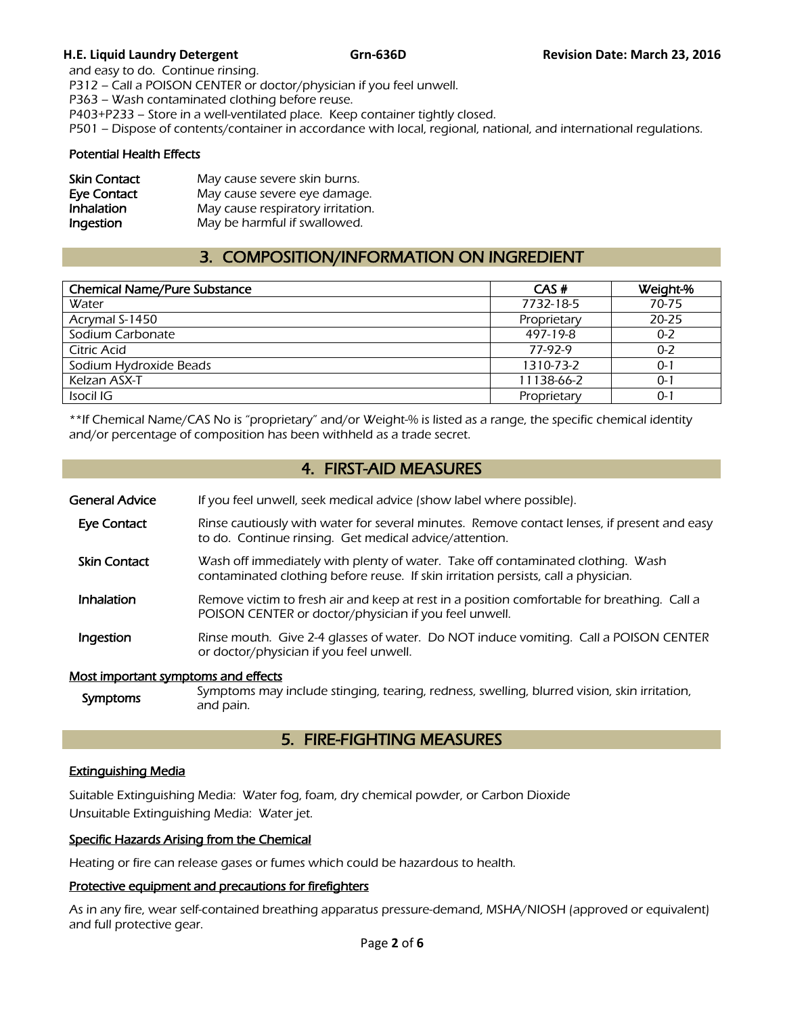and easy to do. Continue rinsing. P312 – Call a POISON CENTER or doctor/physician if you feel unwell. P363 – Wash contaminated clothing before reuse. P403+P233 – Store in a well-ventilated place. Keep container tightly closed. P501 – Dispose of contents/container in accordance with local, regional, national, and international regulations.

#### Potential Health Effects

| <b>Skin Contact</b> | May cause severe skin burns.      |
|---------------------|-----------------------------------|
| <b>Eye Contact</b>  | May cause severe eye damage.      |
| Inhalation          | May cause respiratory irritation. |
| Ingestion           | May be harmful if swallowed.      |

## 3. COMPOSITION/INFORMATION ON INGREDIENT

| <b>Chemical Name/Pure Substance</b> | CAS#        | Weight-%  |
|-------------------------------------|-------------|-----------|
| Water                               | 7732-18-5   | 70-75     |
| Acrymal S-1450                      | Proprietary | $20 - 25$ |
| Sodium Carbonate                    | 497-19-8    | $0 - 2$   |
| Citric Acid                         | 77-97-9     | $0 - 2$   |
| Sodium Hydroxide Beads              | 1310-73-2   | $0 - 1$   |
| Kelzan ASX-T                        | 11138-66-2  | $0 - 1$   |
| Isocil IG                           | Proprietary | $0 - 1$   |
|                                     |             |           |

\*\*If Chemical Name/CAS No is "proprietary" and/or Weight-% is listed as a range, the specific chemical identity and/or percentage of composition has been withheld as a trade secret.

### 4. FIRST-AID MEASURES

| General Advice | If you feel unwell, seek medical advice (show label where possible). |
|----------------|----------------------------------------------------------------------|
|                |                                                                      |

- Eye Contact Rinse cautiously with water for several minutes. Remove contact lenses, if present and easy to do. Continue rinsing. Get medical advice/attention.
- **Skin Contact** Wash off immediately with plenty of water. Take off contaminated clothing. Wash contaminated clothing before reuse. If skin irritation persists, call a physician.
- Inhalation Remove victim to fresh air and keep at rest in a position comfortable for breathing. Call a POISON CENTER or doctor/physician if you feel unwell.
- **Ingestion** Rinse mouth. Give 2-4 glasses of water. Do NOT induce vomiting. Call a POISON CENTER or doctor/physician if you feel unwell.

#### Most important symptoms and effects

Symptoms Symptoms may include stinging, tearing, redness, swelling, blurred vision, skin irritation, and pain.

### 5. FIRE-FIGHTING MEASURES

### Extinguishing Media

Suitable Extinguishing Media: Water fog, foam, dry chemical powder, or Carbon Dioxide Unsuitable Extinguishing Media: Water jet.

#### Specific Hazards Arising from the Chemical

Heating or fire can release gases or fumes which could be hazardous to health.

#### Protective equipment and precautions for firefighters

As in any fire, wear self-contained breathing apparatus pressure-demand, MSHA/NIOSH (approved or equivalent) and full protective gear.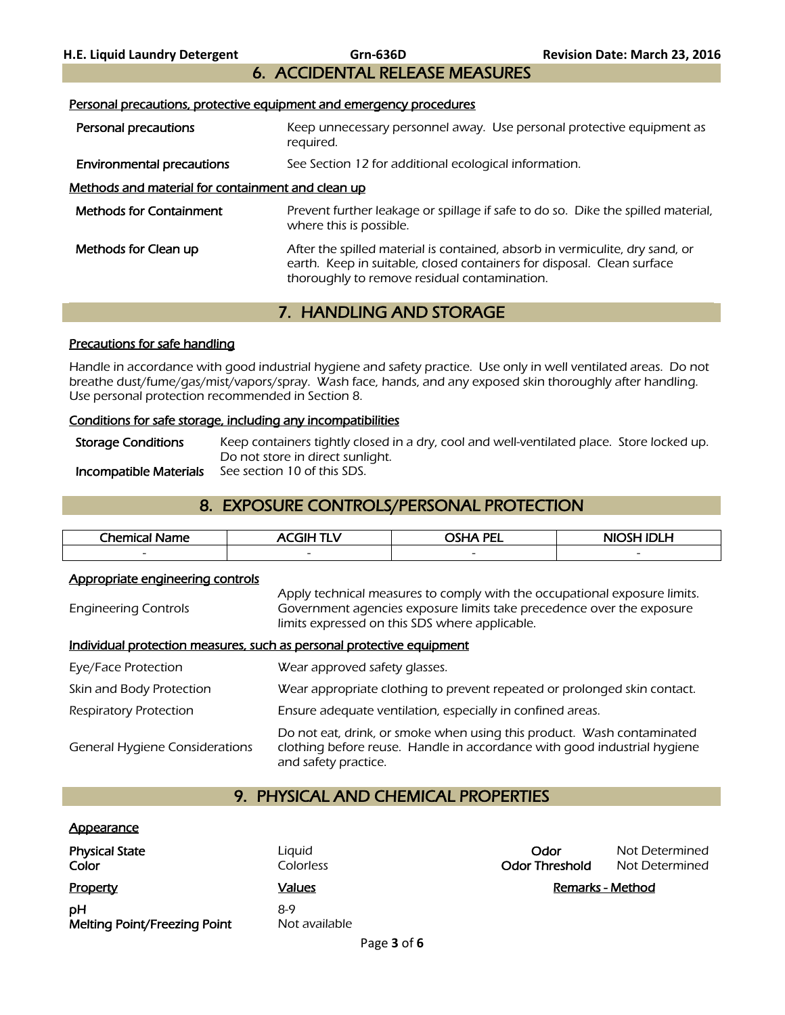# 6. ACCIDENTAL RELEASE MEASURES

#### Personal precautions, protective equipment and emergency procedures

- Personal precautions **Keep unnecessary personnel away.** Use personal protective equipment as required.
- **Environmental precautions** See Section 12 for additional ecological information.

#### Methods and material for containment and clean up

| <b>Methods for Containment</b> | Prevent further leakage or spillage if safe to do so. Dike the spilled material,<br>where this is possible.                                                                                            |
|--------------------------------|--------------------------------------------------------------------------------------------------------------------------------------------------------------------------------------------------------|
| Methods for Clean up           | After the spilled material is contained, absorb in vermiculite, dry sand, or<br>earth. Keep in suitable, closed containers for disposal. Clean surface<br>thoroughly to remove residual contamination. |

### 7. HANDLING AND STORAGE

#### Precautions for safe handling

Handle in accordance with good industrial hygiene and safety practice. Use only in well ventilated areas. Do not breathe dust/fume/gas/mist/vapors/spray. Wash face, hands, and any exposed skin thoroughly after handling. Use personal protection recommended in Section 8.

#### Conditions for safe storage, including any incompatibilities

Storage Conditions Keep containers tightly closed in a dry, cool and well-ventilated place. Store locked up. Do not store in direct sunlight. Incompatible Materials See section 10 of this SDS.

### 8. EXPOSURE CONTROLS/PERSONAL PROTECTION

| Chemical.<br>eme<br>the contract of the contract of the | ____                     | <b>PEI</b><br>~~''*      | .<br>. .                 |
|---------------------------------------------------------|--------------------------|--------------------------|--------------------------|
| $\overline{\phantom{0}}$                                | $\overline{\phantom{0}}$ | $\overline{\phantom{0}}$ | $\overline{\phantom{0}}$ |
|                                                         |                          |                          |                          |

#### Appropriate engineering controls

Engineering Controls Apply technical measures to comply with the occupational exposure limits. Government agencies exposure limits take precedence over the exposure limits expressed on this SDS where applicable.

#### Individual protection measures, such as personal protective equipment

| Eye/Face Protection                   | Wear approved safety glasses.                                                                                                                                              |
|---------------------------------------|----------------------------------------------------------------------------------------------------------------------------------------------------------------------------|
| Skin and Body Protection              | Wear appropriate clothing to prevent repeated or prolonged skin contact.                                                                                                   |
| <b>Respiratory Protection</b>         | Ensure adequate ventilation, especially in confined areas.                                                                                                                 |
| <b>General Hygiene Considerations</b> | Do not eat, drink, or smoke when using this product. Wash contaminated<br>clothing before reuse. Handle in accordance with good industrial hygiene<br>and safety practice. |

### 9. PHYSICAL AND CHEMICAL PROPERTIES

#### **Appearance**

| <b>Physical State</b><br>Color     | Liguid<br><b>Colorless</b> | Odor<br><b>Odor Threshold</b> | Not Determined<br>Not Determined |
|------------------------------------|----------------------------|-------------------------------|----------------------------------|
| Property                           | Values                     |                               | <u> Remarks - Method</u>         |
| pН<br>Melting Point/Freezing Point | 8-9<br>Not available       |                               |                                  |

| Odor                  | Not Determined |
|-----------------------|----------------|
| <b>Odor Threshold</b> | Not Determined |
|                       |                |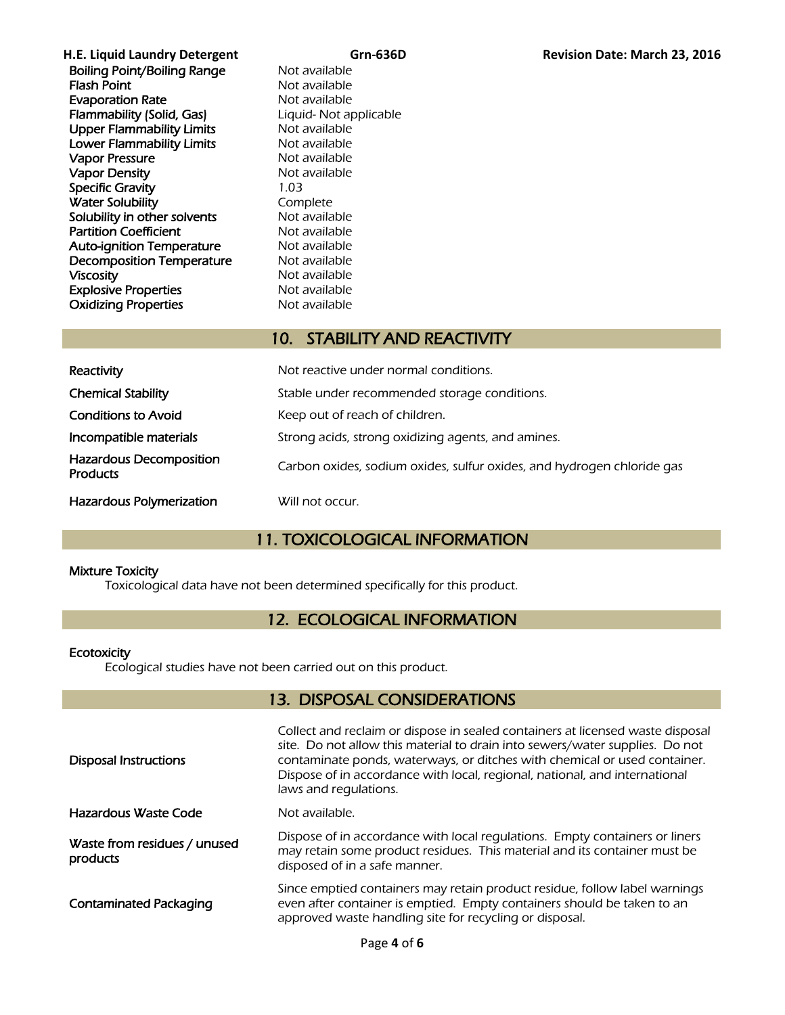**H.E. Liquid Laundry Detergent Grn-636D Revision Date: March 23, 2016** Boiling Point/Boiling Range Not available **Flash Point** Not available Evaporation Rate<br>
Flammability (Solid, Gas) Eliquid-Not applicable Flammability (Solid, Gas) Upper Flammability Limits Not available Lower Flammability Limits Not available Vapor Pressure **Not available** Vapor Density Not available Specific Gravity 1.03 Water Solubility **Complete** Solubility in other solvents Not available **Partition Coefficient** Not available<br> **Auto-ignition Temperature** Not available Auto-ignition Temperature **Decomposition Temperature** Mot available<br> **Viscosity** Mot available Not available Explosive Properties Not available **Oxidizing Properties** Not available

## 10. STABILITY AND REACTIVITY

| Reactivity                                        | Not reactive under normal conditions.                                  |
|---------------------------------------------------|------------------------------------------------------------------------|
| <b>Chemical Stability</b>                         | Stable under recommended storage conditions.                           |
| <b>Conditions to Avoid</b>                        | Keep out of reach of children.                                         |
| Incompatible materials                            | Strong acids, strong oxidizing agents, and amines.                     |
| <b>Hazardous Decomposition</b><br><b>Products</b> | Carbon oxides, sodium oxides, sulfur oxides, and hydrogen chloride gas |
| <b>Hazardous Polymerization</b>                   | Will not occur.                                                        |

### 11. TOXICOLOGICAL INFORMATION

#### Mixture Toxicity

Toxicological data have not been determined specifically for this product.

### 12. ECOLOGICAL INFORMATION

#### **Ecotoxicity**

Ecological studies have not been carried out on this product.

### 13. DISPOSAL CONSIDERATIONS

| <b>Disposal Instructions</b>             | Collect and reclaim or dispose in sealed containers at licensed waste disposal<br>site. Do not allow this material to drain into sewers/water supplies. Do not<br>contaminate ponds, waterways, or ditches with chemical or used container.<br>Dispose of in accordance with local, regional, national, and international<br>laws and regulations. |
|------------------------------------------|----------------------------------------------------------------------------------------------------------------------------------------------------------------------------------------------------------------------------------------------------------------------------------------------------------------------------------------------------|
| Hazardous Waste Code                     | Not available.                                                                                                                                                                                                                                                                                                                                     |
| Waste from residues / unused<br>products | Dispose of in accordance with local regulations. Empty containers or liners<br>may retain some product residues. This material and its container must be<br>disposed of in a safe manner.                                                                                                                                                          |
| <b>Contaminated Packaging</b>            | Since emptied containers may retain product residue, follow label warnings<br>even after container is emptied. Empty containers should be taken to an<br>approved waste handling site for recycling or disposal.                                                                                                                                   |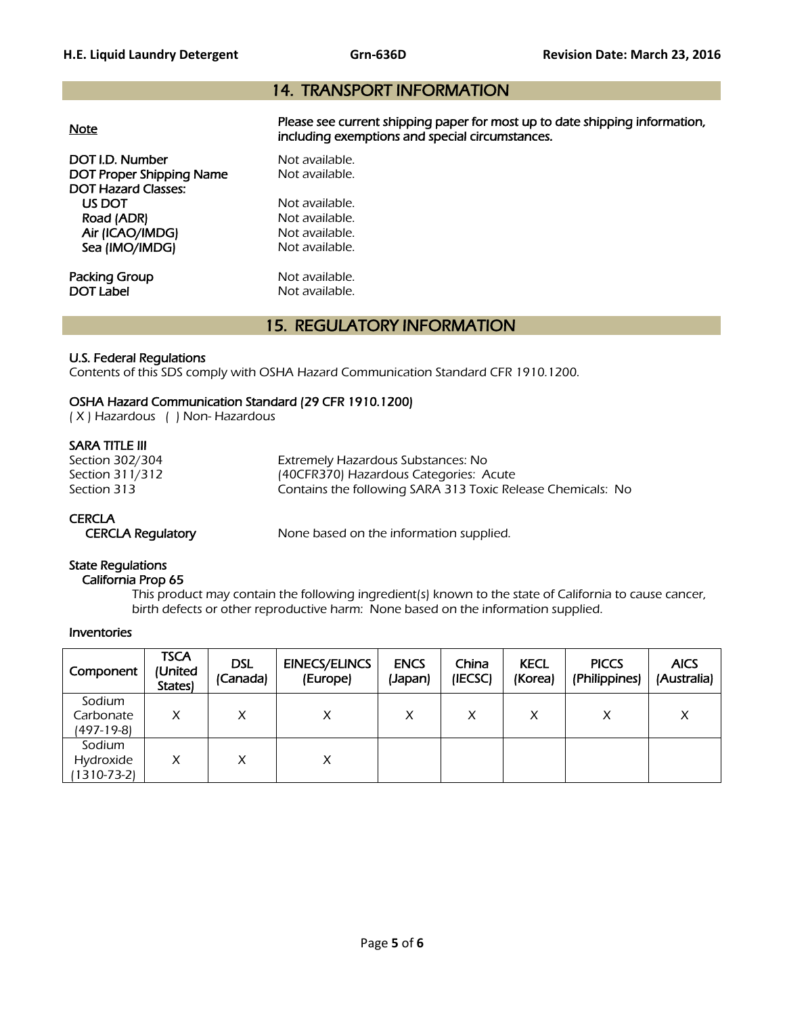### 14. TRANSPORT INFORMATION

| <u>Note</u>                                        | Please see current shipping paper for most up to date shipping information,<br>including exemptions and special circumstances. |
|----------------------------------------------------|--------------------------------------------------------------------------------------------------------------------------------|
| DOT I.D. Number<br><b>DOT Proper Shipping Name</b> | Not available.<br>Not available.                                                                                               |
| <b>DOT Hazard Classes:</b>                         |                                                                                                                                |
| US DOT                                             | Not available.                                                                                                                 |
| Road (ADR)                                         | Not available.                                                                                                                 |
| Air (ICAO/IMDG)                                    | Not available.                                                                                                                 |
| Sea (IMO/IMDG)                                     | Not available.                                                                                                                 |
| Packing Group                                      | Not available.                                                                                                                 |
| DOT Label                                          | Not available.                                                                                                                 |
|                                                    |                                                                                                                                |

### 15. REGULATORY INFORMATION

#### U.S. Federal Regulations

Contents of this SDS comply with OSHA Hazard Communication Standard CFR 1910.1200.

#### OSHA Hazard Communication Standard (29 CFR 1910.1200)

( X ) Hazardous ( ) Non- Hazardous

#### SARA TITLE III

Section 302/304 Extremely Hazardous Substances: No Section 311/312 (40CFR370) Hazardous Categories: Acute<br>Section 313 (Section 313) Contains the following SARA 313 Toxic Rel Contains the following SARA 313 Toxic Release Chemicals: No

#### **CERCLA**

CERCLA Regulatory None based on the information supplied.

#### State Regulations

California Prop 65

 This product may contain the following ingredient(s) known to the state of California to cause cancer, birth defects or other reproductive harm: None based on the information supplied.

#### Inventories

| Component                          | <b>TSCA</b><br>(United<br>States) | <b>DSL</b><br>(Canada) | <b>EINECS/ELINCS</b><br>(Europe) | <b>ENCS</b><br>(Japan) | China<br>(IECSC) | <b>KECL</b><br>(Korea) | <b>PICCS</b><br>(Philippines) | <b>AICS</b><br>(Australia) |
|------------------------------------|-----------------------------------|------------------------|----------------------------------|------------------------|------------------|------------------------|-------------------------------|----------------------------|
| Sodium<br>Carbonate<br>(497-19-8)  | X                                 | x                      | X                                | X                      | X                | X                      | X                             | Χ                          |
| Sodium<br>Hydroxide<br>(1310-73-2) | x                                 | X                      | X                                |                        |                  |                        |                               |                            |